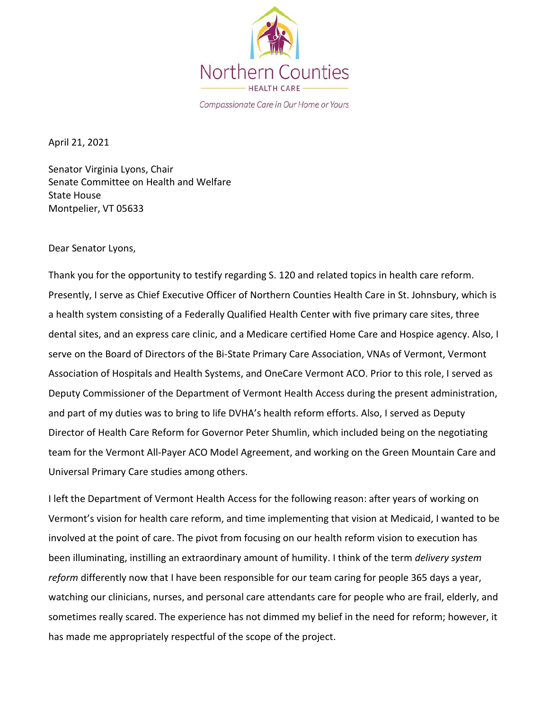

Compassionate Care in Our Home or Yours

April 21, 2021

Senator Virginia Lyons, Chair Senate Committee on Health and Welfare State House Montpelier, VT 05633

Dear Senator Lyons,

Thank you for the opportunity to testify regarding S. 120 and related topics in health care reform. Presently, I serve as Chief Executive Officer of Northern Counties Health Care in St. Johnsbury, which is a health system consisting of a Federally Qualified Health Center with five primary care sites, three dental sites, and an express care clinic, and a Medicare certified Home Care and Hospice agency. Also, I serve on the Board of Directors of the Bi-State Primary Care Association, VNAs of Vermont, Vermont Association of Hospitals and Health Systems, and OneCare Vermont ACO. Prior to this role, I served as Deputy Commissioner of the Department of Vermont Health Access during the present administration, and part of my duties was to bring to life DVHA's health reform efforts. Also, I served as Deputy Director of Health Care Reform for Governor Peter Shumlin, which included being on the negotiating team for the Vermont All-Payer ACO Model Agreement, and working on the Green Mountain Care and Universal Primary Care studies among others.

I left the Department of Vermont Health Access for the following reason: after years of working on Vermont's vision for health care reform, and time implementing that vision at Medicaid, I wanted to be involved at the point of care. The pivot from focusing on our health reform vision to execution has been illuminating, instilling an extraordinary amount of humility. I think of the term *delivery system reform* differently now that I have been responsible for our team caring for people 365 days a year, watching our clinicians, nurses, and personal care attendants care for people who are frail, elderly, and sometimes really scared. The experience has not dimmed my belief in the need for reform; however, it has made me appropriately respectful of the scope of the project.